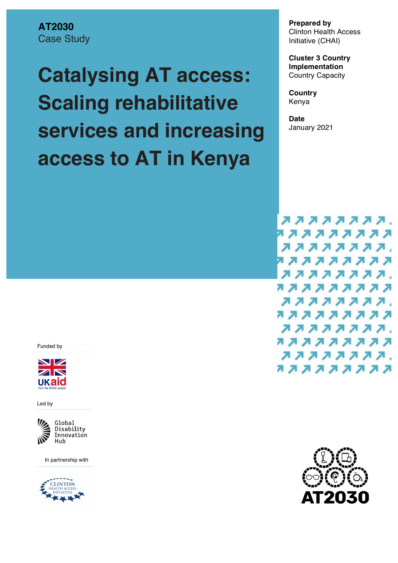**AT2030** Case Study

# **Catalysing AT access: Scaling rehabilitative services and increasing access to AT in Kenya**

**Prepared by** Clinton Health Access Initiative (CHAI)

**Cluster 3 Country Implementation**  Country Capacity

**Country** Kenya

**Date** January 2021

,,,,,,,,,, ,,,,,,,,,, ,,,,,,,,, ,,,,,,,,,, ,,,,,,,,,, ,,,,,,,,,, ,,,,,,,,, ,,,,,,,,,, ,,,,,,,,, ,,,,,,,,,, ,,,,,,,,, ,,,,,,,,,,

Funded by



Led by



In partnership with



F203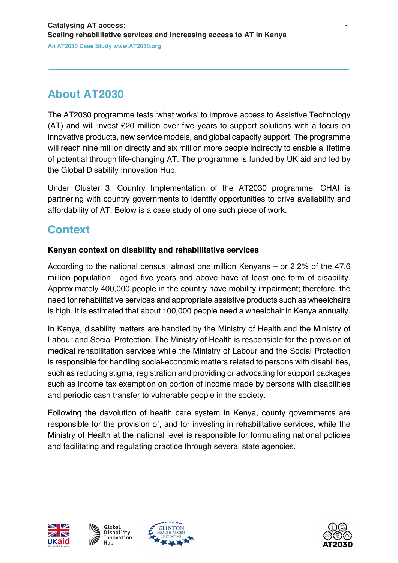# **About AT2030**

The AT2030 programme tests 'what works' to improve access to Assistive Technology (AT) and will invest £20 million over five years to support solutions with a focus on innovative products, new service models, and global capacity support. The programme will reach nine million directly and six million more people indirectly to enable a lifetime of potential through life-changing AT. The programme is funded by UK aid and led by the Global Disability Innovation Hub.

Under Cluster 3: Country Implementation of the AT2030 programme, CHAI is partnering with country governments to identify opportunities to drive availability and affordability of AT. Below is a case study of one such piece of work.

## **Context**

#### **Kenyan context on disability and rehabilitative services**

According to the national census, almost one million Kenyans – or 2.2% of the 47.6 million population - aged five years and above have at least one form of disability. Approximately 400,000 people in the country have mobility impairment; therefore, the need for rehabilitative services and appropriate assistive products such as wheelchairs is high. It is estimated that about 100,000 people need a wheelchair in Kenya annually.

In Kenya, disability matters are handled by the Ministry of Health and the Ministry of Labour and Social Protection. The Ministry of Health is responsible for the provision of medical rehabilitation services while the Ministry of Labour and the Social Protection is responsible for handling social-economic matters related to persons with disabilities, such as reducing stigma, registration and providing or advocating for support packages such as income tax exemption on portion of income made by persons with disabilities and periodic cash transfer to vulnerable people in the society.

Following the devolution of health care system in Kenya, county governments are responsible for the provision of, and for investing in rehabilitative services, while the Ministry of Health at the national level is responsible for formulating national policies and facilitating and regulating practice through several state agencies.







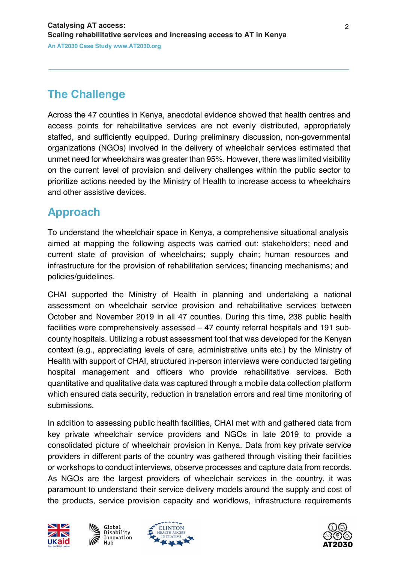# **The Challenge**

Across the 47 counties in Kenya, anecdotal evidence showed that health centres and access points for rehabilitative services are not evenly distributed, appropriately staffed, and sufficiently equipped. During preliminary discussion, non-governmental organizations (NGOs) involved in the delivery of wheelchair services estimated that unmet need for wheelchairs was greater than 95%. However, there was limited visibility on the current level of provision and delivery challenges within the public sector to prioritize actions needed by the Ministry of Health to increase access to wheelchairs and other assistive devices.

## **Approach**

To understand the wheelchair space in Kenya, a comprehensive situational analysis aimed at mapping the following aspects was carried out: stakeholders; need and current state of provision of wheelchairs; supply chain; human resources and infrastructure for the provision of rehabilitation services; financing mechanisms; and policies/guidelines.

CHAI supported the Ministry of Health in planning and undertaking a national assessment on wheelchair service provision and rehabilitative services between October and November 2019 in all 47 counties. During this time, 238 public health facilities were comprehensively assessed – 47 county referral hospitals and 191 subcounty hospitals. Utilizing a robust assessment tool that was developed for the Kenyan context (e.g., appreciating levels of care, administrative units etc.) by the Ministry of Health with support of CHAI, structured in-person interviews were conducted targeting hospital management and officers who provide rehabilitative services. Both quantitative and qualitative data was captured through a mobile data collection platform which ensured data security, reduction in translation errors and real time monitoring of submissions.

In addition to assessing public health facilities, CHAI met with and gathered data from key private wheelchair service providers and NGOs in late 2019 to provide a consolidated picture of wheelchair provision in Kenya. Data from key private service providers in different parts of the country was gathered through visiting their facilities or workshops to conduct interviews, observe processes and capture data from records. As NGOs are the largest providers of wheelchair services in the country, it was paramount to understand their service delivery models around the supply and cost of the products, service provision capacity and workflows, infrastructure requirements







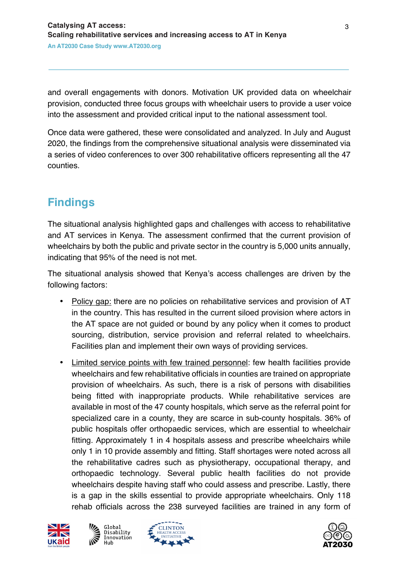and overall engagements with donors. Motivation UK provided data on wheelchair provision, conducted three focus groups with wheelchair users to provide a user voice into the assessment and provided critical input to the national assessment tool.

Once data were gathered, these were consolidated and analyzed. In July and August 2020, the findings from the comprehensive situational analysis were disseminated via a series of video conferences to over 300 rehabilitative officers representing all the 47 counties.

# **Findings**

The situational analysis highlighted gaps and challenges with access to rehabilitative and AT services in Kenya. The assessment confirmed that the current provision of wheelchairs by both the public and private sector in the country is 5,000 units annually, indicating that 95% of the need is not met.

The situational analysis showed that Kenya's access challenges are driven by the following factors:

- Policy gap: there are no policies on rehabilitative services and provision of AT in the country. This has resulted in the current siloed provision where actors in the AT space are not guided or bound by any policy when it comes to product sourcing, distribution, service provision and referral related to wheelchairs. Facilities plan and implement their own ways of providing services.
- Limited service points with few trained personnel: few health facilities provide wheelchairs and few rehabilitative officials in counties are trained on appropriate provision of wheelchairs. As such, there is a risk of persons with disabilities being fitted with inappropriate products. While rehabilitative services are available in most of the 47 county hospitals, which serve as the referral point for specialized care in a county, they are scarce in sub-county hospitals. 36% of public hospitals offer orthopaedic services, which are essential to wheelchair fitting. Approximately 1 in 4 hospitals assess and prescribe wheelchairs while only 1 in 10 provide assembly and fitting. Staff shortages were noted across all the rehabilitative cadres such as physiotherapy, occupational therapy, and orthopaedic technology. Several public health facilities do not provide wheelchairs despite having staff who could assess and prescribe. Lastly, there is a gap in the skills essential to provide appropriate wheelchairs. Only 118 rehab officials across the 238 surveyed facilities are trained in any form of







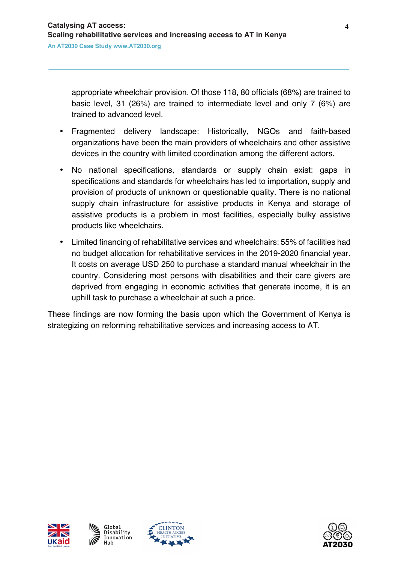appropriate wheelchair provision. Of those 118, 80 officials (68%) are trained to basic level, 31 (26%) are trained to intermediate level and only 7 (6%) are trained to advanced level.

- Fragmented delivery landscape: Historically, NGOs and faith-based organizations have been the main providers of wheelchairs and other assistive devices in the country with limited coordination among the different actors.
- No national specifications, standards or supply chain exist: gaps in specifications and standards for wheelchairs has led to importation, supply and provision of products of unknown or questionable quality. There is no national supply chain infrastructure for assistive products in Kenya and storage of assistive products is a problem in most facilities, especially bulky assistive products like wheelchairs.
- Limited financing of rehabilitative services and wheelchairs: 55% of facilities had no budget allocation for rehabilitative services in the 2019-2020 financial year. It costs on average USD 250 to purchase a standard manual wheelchair in the country. Considering most persons with disabilities and their care givers are deprived from engaging in economic activities that generate income, it is an uphill task to purchase a wheelchair at such a price.

These findings are now forming the basis upon which the Government of Kenya is strategizing on reforming rehabilitative services and increasing access to AT.